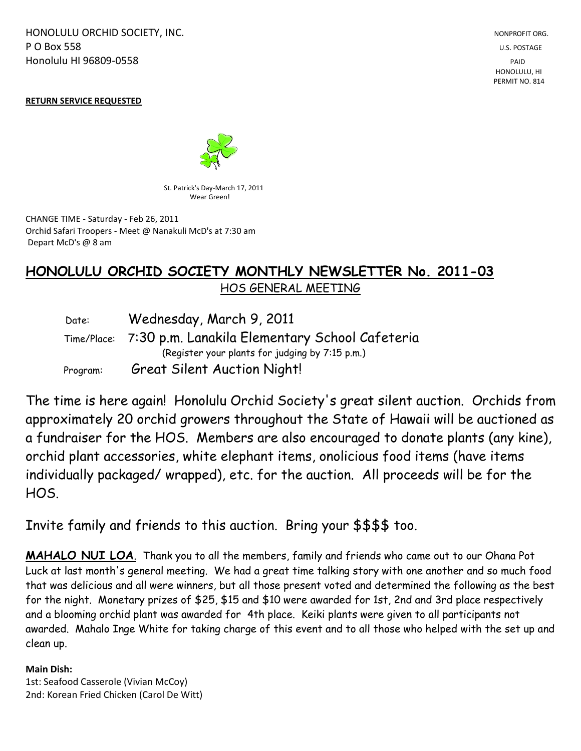HONOLULU ORCHID SOCIETY, INC. NONPROFIT ORG. NONPROFIT ORG. **P O Box 558** U.S. POSTAGE Honolulu HI 96809-0558 PAID

 HONOLULU, HI PERMIT NO. 814

#### **RETURN SERVICE REQUESTED**



St. Patrick's Day-March 17, 2011 Wear Green!

CHANGE TIME - Saturday - Feb 26, 2011 Orchid Safari Troopers - Meet @ Nanakuli McD's at 7:30 am Depart McD's @ 8 am

# **HONOLULU ORCHID SOCIETY MONTHLY NEWSLETTER No. 2011-03**  HOS GENERAL MEETING

| Date:    | Wednesday, March 9, 2011                                   |
|----------|------------------------------------------------------------|
|          | Time/Place: 7:30 p.m. Lanakila Elementary School Cafeteria |
|          | (Register your plants for judging by 7:15 p.m.)            |
| Program: | <b>Great Silent Auction Night!</b>                         |

The time is here again! Honolulu Orchid Society's great silent auction. Orchids from approximately 20 orchid growers throughout the State of Hawaii will be auctioned as a fundraiser for the HOS. Members are also encouraged to donate plants (any kine), orchid plant accessories, white elephant items, onolicious food items (have items individually packaged/ wrapped), etc. for the auction. All proceeds will be for the HOS.

Invite family and friends to this auction. Bring your \$\$\$\$ too.

**MAHALO NUI LOA**. Thank you to all the members, family and friends who came out to our Ohana Pot Luck at last month's general meeting. We had a great time talking story with one another and so much food that was delicious and all were winners, but all those present voted and determined the following as the best for the night. Monetary prizes of \$25, \$15 and \$10 were awarded for 1st, 2nd and 3rd place respectively and a blooming orchid plant was awarded for 4th place. Keiki plants were given to all participants not awarded. Mahalo Inge White for taking charge of this event and to all those who helped with the set up and clean up.

#### **Main Dish:**

1st: Seafood Casserole (Vivian McCoy) 2nd: Korean Fried Chicken (Carol De Witt)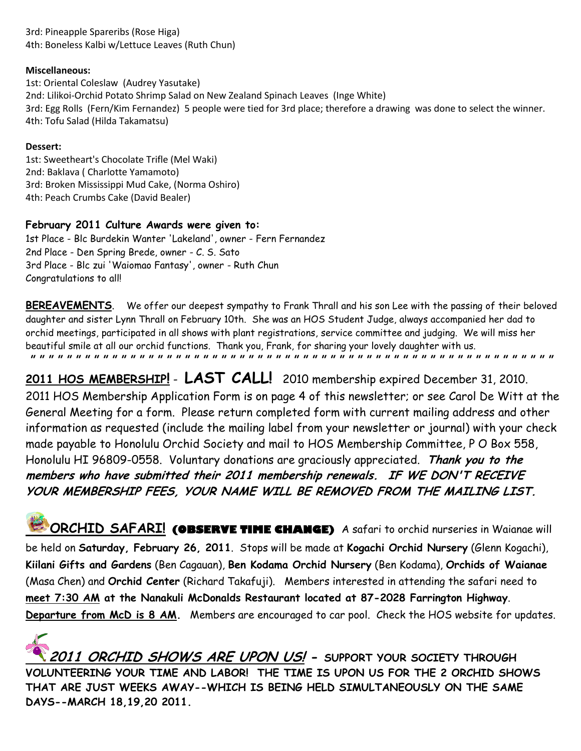3rd: Pineapple Spareribs (Rose Higa) 4th: Boneless Kalbi w/Lettuce Leaves (Ruth Chun)

#### **Miscellaneous:**

1st: Oriental Coleslaw (Audrey Yasutake) 2nd: Lilikoi-Orchid Potato Shrimp Salad on New Zealand Spinach Leaves (Inge White) 3rd: Egg Rolls (Fern/Kim Fernandez) 5 people were tied for 3rd place; therefore a drawing was done to select the winner. 4th: Tofu Salad (Hilda Takamatsu)

#### **Dessert:**

1st: Sweetheart's Chocolate Trifle (Mel Waki) 2nd: Baklava ( Charlotte Yamamoto) 3rd: Broken Mississippi Mud Cake, (Norma Oshiro) 4th: Peach Crumbs Cake (David Bealer)

### **February 2011 Culture Awards were given to:**

1st Place - Blc Burdekin Wanter 'Lakeland', owner - Fern Fernandez 2nd Place - Den Spring Brede, owner - C. S. Sato 3rd Place - Blc zui 'Waiomao Fantasy', owner - Ruth Chun Congratulations to all!

BEREAVEMENTS. We offer our deepest sympathy to Frank Thrall and his son Lee with the passing of their beloved daughter and sister Lynn Thrall on February 10th. She was an HOS Student Judge, always accompanied her dad to orchid meetings, participated in all shows with plant registrations, service committee and judging. We will miss her beautiful smile at all our orchid functions. Thank you, Frank, for sharing your lovely daughter with us. **" " " " " " " " " " " " " " " " " " " " " " " " " " " " " " " " " " " " " " " " " " " " " " " " " " " " " " " " " "** 

**2011 HOS MEMBERSHIP!** - **LAST CALL!** 2010 membership expired December 31, 2010. 2011 HOS Membership Application Form is on page 4 of this newsletter; or see Carol De Witt at the General Meeting for a form. Please return completed form with current mailing address and other information as requested (include the mailing label from your newsletter or journal) with your check made payable to Honolulu Orchid Society and mail to HOS Membership Committee, P O Box 558, Honolulu HI 96809-0558. Voluntary donations are graciously appreciated. **Thank you to the members who have submitted their 2011 membership renewals. IF WE DON'T RECEIVE YOUR MEMBERSHIP FEES, YOUR NAME WILL BE REMOVED FROM THE MAILING LIST.**

**ORCHID SAFARI! (OBSERVE TIME CHANGE)** A safari to orchid nurseries in Waianae will be held on **Saturday, February 26, 2011**. Stops will be made at **Kogachi Orchid Nursery** (Glenn Kogachi), **Kiilani Gifts and Gardens** (Ben Cagauan), **Ben Kodama Orchid Nursery** (Ben Kodama), **Orchids of Waianae** (Masa Chen) and **Orchid Center** (Richard Takafuji). Members interested in attending the safari need to **meet 7:30 AM at the Nanakuli McDonalds Restaurant located at 87-2028 Farrington Highway**. Departure from McD is 8 AM. Members are encouraged to car pool. Check the HOS website for updates.

**2011 ORCHID SHOWS ARE UPON US! - SUPPORT YOUR SOCIETY THROUGH VOLUNTEERING YOUR TIME AND LABOR! THE TIME IS UPON US FOR THE 2 ORCHID SHOWS THAT ARE JUST WEEKS AWAY--WHICH IS BEING HELD SIMULTANEOUSLY ON THE SAME DAYS--MARCH 18,19,20 2011.**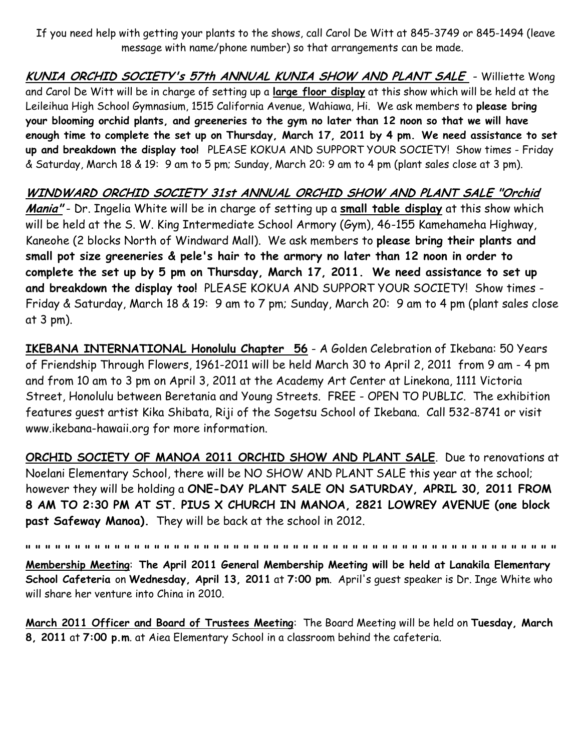If you need help with getting your plants to the shows, call Carol De Witt at 845-3749 or 845-1494 (leave message with name/phone number) so that arrangements can be made.

**KUNIA ORCHID SOCIETY's 57th ANNUAL KUNIA SHOW AND PLANT SALE** - Williette Wong and Carol De Witt will be in charge of setting up a **large floor display** at this show which will be held at the Leileihua High School Gymnasium, 1515 California Avenue, Wahiawa, Hi. We ask members to **please bring your blooming orchid plants, and greeneries to the gym no later than 12 noon so that we will have enough time to complete the set up on Thursday, March 17, 2011 by 4 pm. We need assistance to set up and breakdown the display too!** PLEASE KOKUA AND SUPPORT YOUR SOCIETY! Show times - Friday & Saturday, March 18 & 19: 9 am to 5 pm; Sunday, March 20: 9 am to 4 pm (plant sales close at 3 pm).

## **WINDWARD ORCHID SOCIETY 31st ANNUAL ORCHID SHOW AND PLANT SALE "Orchid**

**Mania"** - Dr. Ingelia White will be in charge of setting up a **small table display** at this show which will be held at the S. W. King Intermediate School Armory (Gym), 46-155 Kamehameha Highway, Kaneohe (2 blocks North of Windward Mall). We ask members to **please bring their plants and small pot size greeneries & pele's hair to the armory no later than 12 noon in order to complete the set up by 5 pm on Thursday, March 17, 2011. We need assistance to set up and breakdown the display too!** PLEASE KOKUA AND SUPPORT YOUR SOCIETY! Show times - Friday & Saturday, March 18 & 19: 9 am to 7 pm; Sunday, March 20: 9 am to 4 pm (plant sales close at 3 pm).

**IKEBANA INTERNATIONAL Honolulu Chapter 56** - A Golden Celebration of Ikebana: 50 Years of Friendship Through Flowers, 1961-2011 will be held March 30 to April 2, 2011 from 9 am - 4 pm and from 10 am to 3 pm on April 3, 2011 at the Academy Art Center at Linekona, 1111 Victoria Street, Honolulu between Beretania and Young Streets. FREE - OPEN TO PUBLIC. The exhibition features guest artist Kika Shibata, Riji of the Sogetsu School of Ikebana. Call 532-8741 or visit www.ikebana-hawaii.org for more information.

**ORCHID SOCIETY OF MANOA 2011 ORCHID SHOW AND PLANT SALE**. Due to renovations at Noelani Elementary School, there will be NO SHOW AND PLANT SALE this year at the school; however they will be holding a **ONE-DAY PLANT SALE ON SATURDAY, APRIL 30, 2011 FROM 8 AM TO 2:30 PM AT ST. PIUS X CHURCH IN MANOA, 2821 LOWREY AVENUE (one block past Safeway Manoa).** They will be back at the school in 2012.

**" " " " " " " " " " " " " " " " " " " " " " " " " " " " " " " " " " " " " " " " " " " " " " " " " " " " " "**

**Membership Meeting**: **The April 2011 General Membership Meeting will be held at Lanakila Elementary School Cafeteria** on **Wednesday, April 13, 2011** at **7:00 pm**. April's guest speaker is Dr. Inge White who will share her venture into China in 2010.

**March 2011 Officer and Board of Trustees Meeting**: The Board Meeting will be held on **Tuesday, March 8, 2011** at **7:00 p.m**. at Aiea Elementary School in a classroom behind the cafeteria.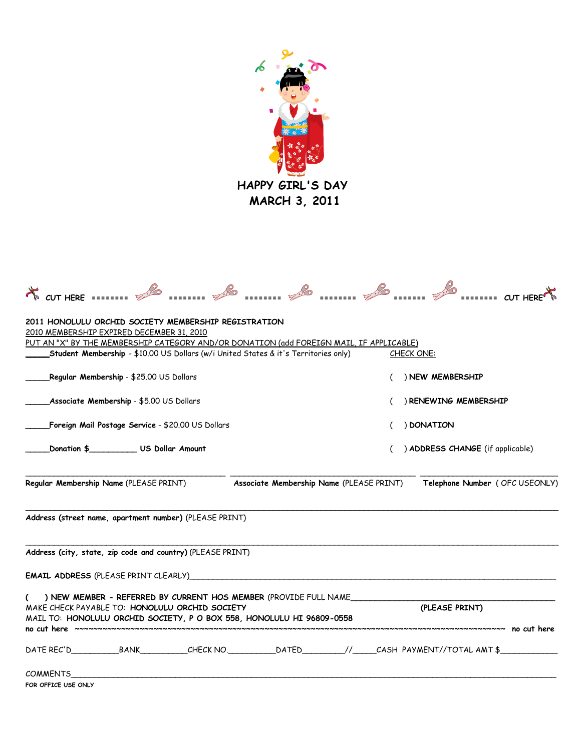

| <b>K</b> CUT HERE ======== $\%$                  |                                                   |                                                                                                                                                                                             |                                                 |  |                                  |  | $=$ ========= CUT HERE          |  |  |
|--------------------------------------------------|---------------------------------------------------|---------------------------------------------------------------------------------------------------------------------------------------------------------------------------------------------|-------------------------------------------------|--|----------------------------------|--|---------------------------------|--|--|
| 2010 MEMBERSHIP EXPIRED DECEMBER 31, 2010        |                                                   | 2011 HONOLULU ORCHID SOCIETY MEMBERSHIP REGISTRATION<br>PUT AN "X" BY THE MEMBERSHIP CATEGORY AND/OR DONATION (add FOREIGN MAIL, IF APPLICABLE)                                             |                                                 |  |                                  |  |                                 |  |  |
|                                                  |                                                   | Student Membership - \$10.00 US Dollars (w/i United States & it's Territories only)                                                                                                         |                                                 |  | <b>CHECK ONE:</b>                |  |                                 |  |  |
| <b>Regular Membership - \$</b> 25.00 US Dollars_ |                                                   |                                                                                                                                                                                             |                                                 |  | ) NEW MEMBERSHIP                 |  |                                 |  |  |
| _Associate Membership - \$5.00 US Dollars        |                                                   |                                                                                                                                                                                             |                                                 |  | RENEWING MEMBERSHIP              |  |                                 |  |  |
|                                                  | Foreign Mail Postage Service - \$20.00 US Dollars |                                                                                                                                                                                             |                                                 |  | ) DONATION                       |  |                                 |  |  |
|                                                  | Donation \$____________ US Dollar Amount          |                                                                                                                                                                                             |                                                 |  | ) ADDRESS CHANGE (if applicable) |  |                                 |  |  |
| Regular Membership Name (PLEASE PRINT)           |                                                   |                                                                                                                                                                                             | <b>Associate Membership Name (PLEASE PRINT)</b> |  |                                  |  | Telephone Number ( OFC USEONLY) |  |  |
|                                                  |                                                   | Address (street name, apartment number) (PLEASE PRINT)                                                                                                                                      |                                                 |  |                                  |  |                                 |  |  |
|                                                  |                                                   | Address (city, state, zip code and country) (PLEASE PRINT)                                                                                                                                  |                                                 |  |                                  |  |                                 |  |  |
|                                                  |                                                   |                                                                                                                                                                                             |                                                 |  |                                  |  |                                 |  |  |
| (                                                |                                                   | ) NEW MEMBER - REFERRED BY CURRENT HOS MEMBER (PROVIDE FULL NAME<br>MAKE CHECK PAYABLE TO: HONOLULU ORCHID SOCIETY<br>MAIL TO: HONOLULU ORCHID SOCIETY, P O BOX 558, HONOLULU HI 96809-0558 |                                                 |  | (PLEASE PRINT)                   |  |                                 |  |  |
|                                                  |                                                   |                                                                                                                                                                                             |                                                 |  |                                  |  | ~~~~~~~~~~ no cut here          |  |  |
| COMMENTS<br>FOR OFFICE USE ONLY                  |                                                   |                                                                                                                                                                                             |                                                 |  |                                  |  |                                 |  |  |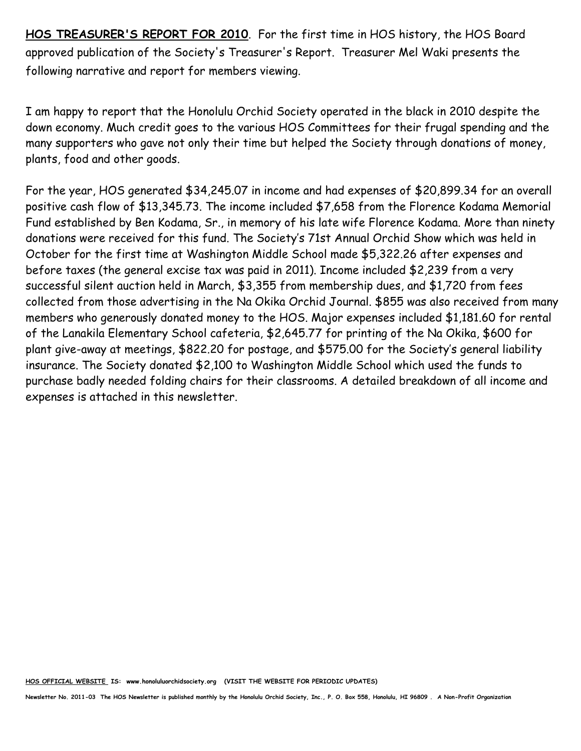**HOS TREASURER'S REPORT FOR 2010**. For the first time in HOS history, the HOS Board approved publication of the Society's Treasurer's Report. Treasurer Mel Waki presents the following narrative and report for members viewing.

I am happy to report that the Honolulu Orchid Society operated in the black in 2010 despite the down economy. Much credit goes to the various HOS Committees for their frugal spending and the many supporters who gave not only their time but helped the Society through donations of money, plants, food and other goods.

For the year, HOS generated \$34,245.07 in income and had expenses of \$20,899.34 for an overall positive cash flow of \$13,345.73. The income included \$7,658 from the Florence Kodama Memorial Fund established by Ben Kodama, Sr., in memory of his late wife Florence Kodama. More than ninety donations were received for this fund. The Society's 71st Annual Orchid Show which was held in October for the first time at Washington Middle School made \$5,322.26 after expenses and before taxes (the general excise tax was paid in 2011). Income included \$2,239 from a very successful silent auction held in March, \$3,355 from membership dues, and \$1,720 from fees collected from those advertising in the Na Okika Orchid Journal. \$855 was also received from many members who generously donated money to the HOS. Major expenses included \$1,181.60 for rental of the Lanakila Elementary School cafeteria, \$2,645.77 for printing of the Na Okika, \$600 for plant give-away at meetings, \$822.20 for postage, and \$575.00 for the Society's general liability insurance. The Society donated \$2,100 to Washington Middle School which used the funds to purchase badly needed folding chairs for their classrooms. A detailed breakdown of all income and expenses is attached in this newsletter.